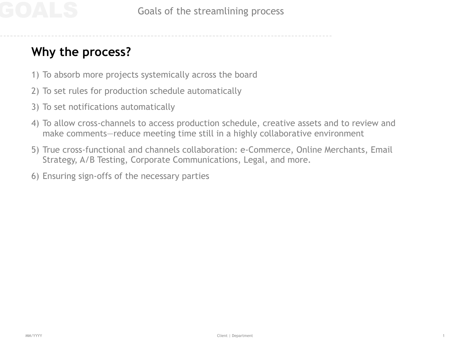## **Why the process?**

- 1) To absorb more projects systemically across the board
- 2) To set rules for production schedule automatically
- 3) To set notifications automatically
- 4) To allow cross-channels to access production schedule, creative assets and to review and make comments—reduce meeting time still in a highly collaborative environment
- 5) True cross-functional and channels collaboration: e-Commerce, Online Merchants, Email Strategy, A/B Testing, Corporate Communications, Legal, and more.
- 6) Ensuring sign-offs of the necessary parties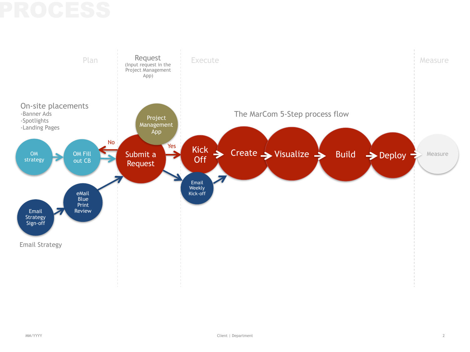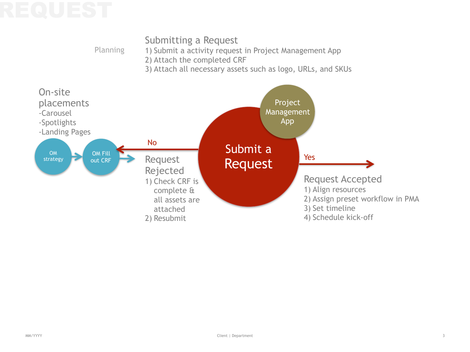

Planning

- 1) Submit a activity request in Project Management App
- 2) Attach the completed CRF
- 3) Attach all necessary assets such as logo, URLs, and SKUs

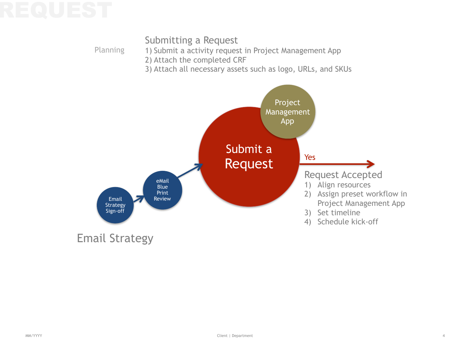Planning

### Submitting a Request

- 1) Submit a activity request in Project Management App
- 2) Attach the completed CRF
- 3) Attach all necessary assets such as logo, URLs, and SKUs

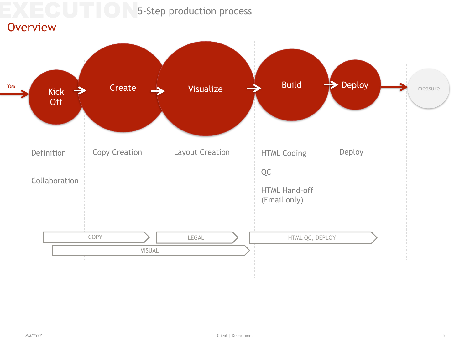5-Step production process

### **Overview**

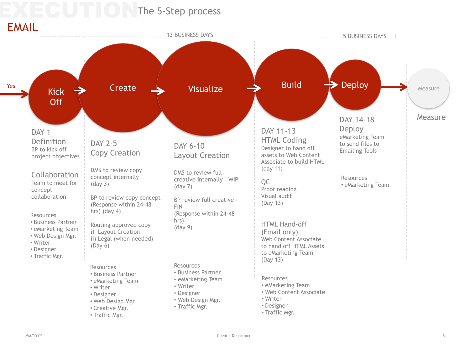# **CUTTING** 5-Step process

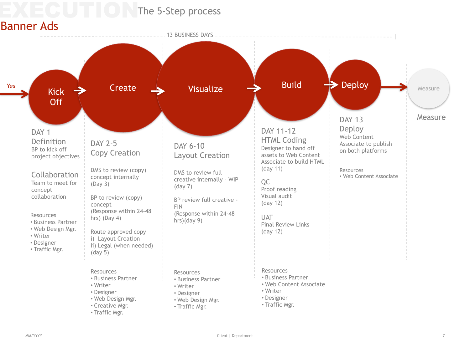## The 5-Step process